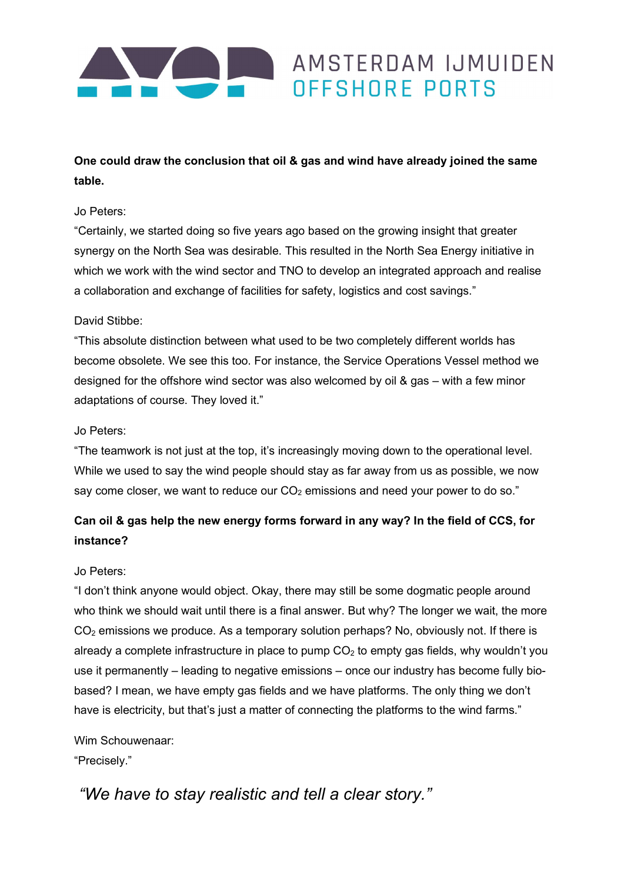

# One could draw the conclusion that oil & gas and wind have already joined the same table.

### Jo Peters:

"Certainly, we started doing so five years ago based on the growing insight that greater synergy on the North Sea was desirable. This resulted in the North Sea Energy initiative in which we work with the wind sector and TNO to develop an integrated approach and realise a collaboration and exchange of facilities for safety, logistics and cost savings."

### David Stibbe:

"This absolute distinction between what used to be two completely different worlds has become obsolete. We see this too. For instance, the Service Operations Vessel method we designed for the offshore wind sector was also welcomed by oil & gas – with a few minor adaptations of course. They loved it."

### Jo Peters:

"The teamwork is not just at the top, it's increasingly moving down to the operational level. While we used to say the wind people should stay as far away from us as possible, we now say come closer, we want to reduce our  $CO<sub>2</sub>$  emissions and need your power to do so."

# Can oil & gas help the new energy forms forward in any way? In the field of CCS, for instance?

## Jo Peters:

"I don't think anyone would object. Okay, there may still be some dogmatic people around who think we should wait until there is a final answer. But why? The longer we wait, the more  $CO<sub>2</sub>$  emissions we produce. As a temporary solution perhaps? No, obviously not. If there is already a complete infrastructure in place to pump  $CO<sub>2</sub>$  to empty gas fields, why wouldn't you use it permanently – leading to negative emissions – once our industry has become fully biobased? I mean, we have empty gas fields and we have platforms. The only thing we don't have is electricity, but that's just a matter of connecting the platforms to the wind farms."

#### Wim Schouwenaar:

"Precisely."

# "We have to stay realistic and tell a clear story."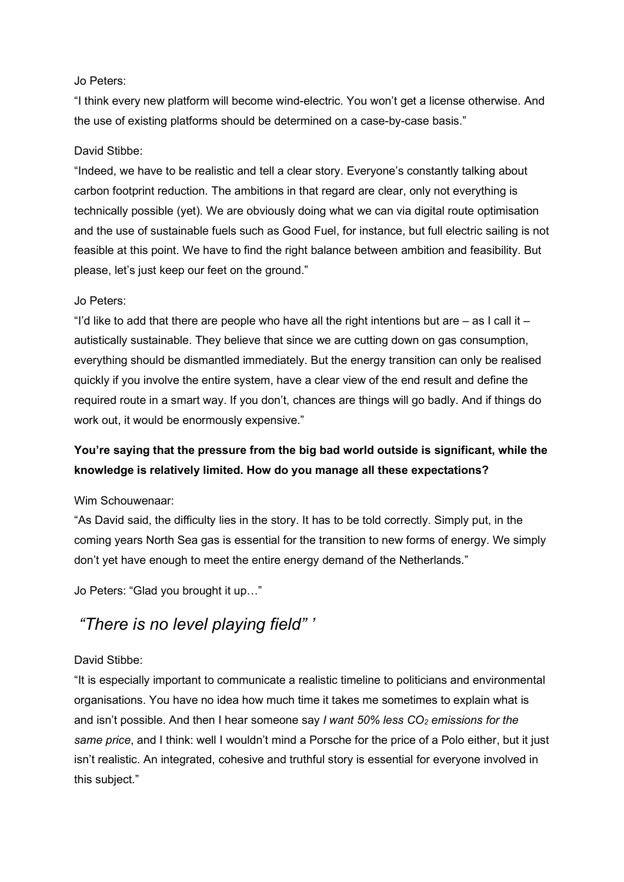## Jo Peters:

"I think every new platform will become wind-electric. You won't get a license otherwise. And the use of existing platforms should be determined on a case-by-case basis."

# David Stibbe:

"Indeed, we have to be realistic and tell a clear story. Everyone's constantly talking about carbon footprint reduction. The ambitions in that regard are clear, only not everything is technically possible (yet). We are obviously doing what we can via digital route optimisation and the use of sustainable fuels such as Good Fuel, for instance, but full electric sailing is not feasible at this point. We have to find the right balance between ambition and feasibility. But please, let's just keep our feet on the ground."

# Jo Peters:

"I'd like to add that there are people who have all the right intentions but are  $-$  as I call it  $$ autistically sustainable. They believe that since we are cutting down on gas consumption, everything should be dismantled immediately. But the energy transition can only be realised quickly if you involve the entire system, have a clear view of the end result and define the required route in a smart way. If you don't, chances are things will go badly. And if things do work out, it would be enormously expensive."

# You're saying that the pressure from the big bad world outside is significant, while the knowledge is relatively limited. How do you manage all these expectations?

# Wim Schouwenaar:

"As David said, the difficulty lies in the story. It has to be told correctly. Simply put, in the coming years North Sea gas is essential for the transition to new forms of energy. We simply don't yet have enough to meet the entire energy demand of the Netherlands."

Jo Peters: "Glad you brought it up…"

# "There is no level playing field" '

# David Stibbe:

"It is especially important to communicate a realistic timeline to politicians and environmental organisations. You have no idea how much time it takes me sometimes to explain what is and isn't possible. And then I hear someone say I want  $50\%$  less  $CO<sub>2</sub>$  emissions for the same price, and I think: well I wouldn't mind a Porsche for the price of a Polo either, but it just isn't realistic. An integrated, cohesive and truthful story is essential for everyone involved in this subject."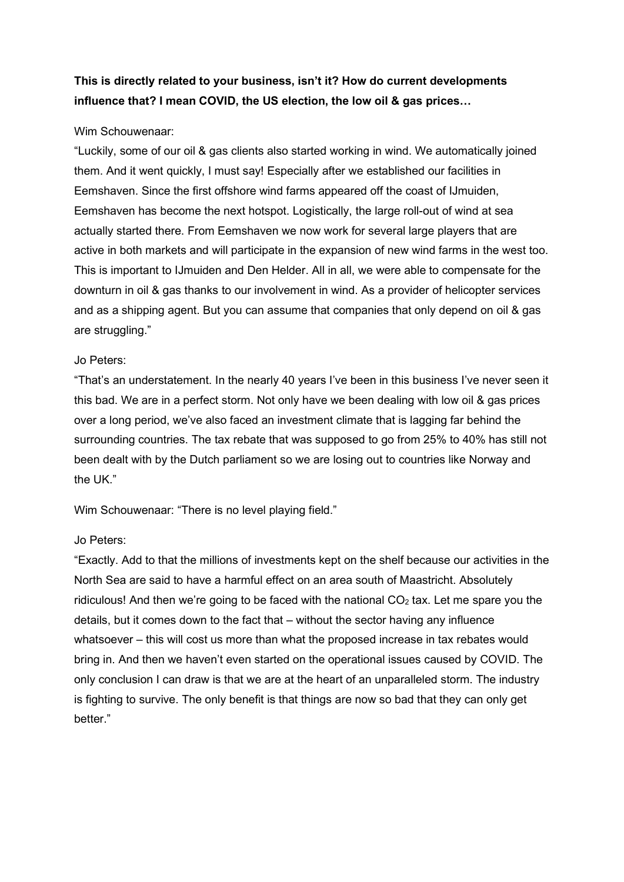# This is directly related to your business, isn't it? How do current developments influence that? I mean COVID, the US election, the low oil & gas prices…

## Wim Schouwenaar:

"Luckily, some of our oil & gas clients also started working in wind. We automatically joined them. And it went quickly, I must say! Especially after we established our facilities in Eemshaven. Since the first offshore wind farms appeared off the coast of IJmuiden, Eemshaven has become the next hotspot. Logistically, the large roll-out of wind at sea actually started there. From Eemshaven we now work for several large players that are active in both markets and will participate in the expansion of new wind farms in the west too. This is important to IJmuiden and Den Helder. All in all, we were able to compensate for the downturn in oil & gas thanks to our involvement in wind. As a provider of helicopter services and as a shipping agent. But you can assume that companies that only depend on oil & gas are struggling."

## Jo Peters:

"That's an understatement. In the nearly 40 years I've been in this business I've never seen it this bad. We are in a perfect storm. Not only have we been dealing with low oil & gas prices over a long period, we've also faced an investment climate that is lagging far behind the surrounding countries. The tax rebate that was supposed to go from 25% to 40% has still not been dealt with by the Dutch parliament so we are losing out to countries like Norway and the UK."

Wim Schouwenaar: "There is no level playing field."

## Jo Peters:

"Exactly. Add to that the millions of investments kept on the shelf because our activities in the North Sea are said to have a harmful effect on an area south of Maastricht. Absolutely ridiculous! And then we're going to be faced with the national  $CO<sub>2</sub>$  tax. Let me spare you the details, but it comes down to the fact that – without the sector having any influence whatsoever – this will cost us more than what the proposed increase in tax rebates would bring in. And then we haven't even started on the operational issues caused by COVID. The only conclusion I can draw is that we are at the heart of an unparalleled storm. The industry is fighting to survive. The only benefit is that things are now so bad that they can only get better."